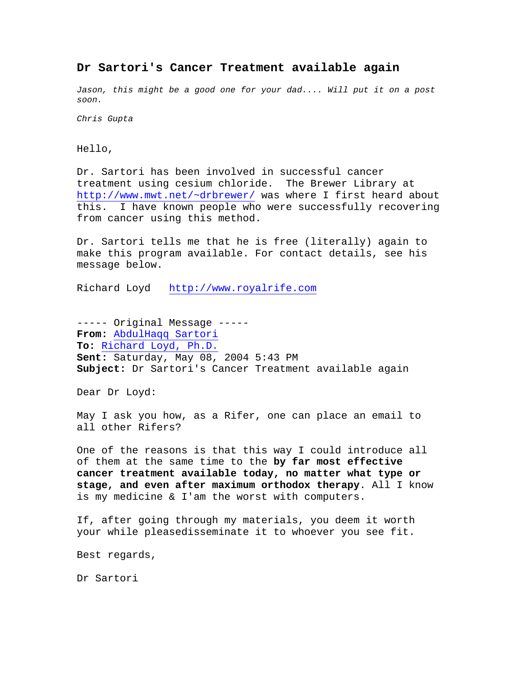### **Dr Sartori's Cancer Treatment available again**

*Jason, this might be a good one for your dad.... Will put it on a post soon.*

*Chris Gupta*

Hello,

Dr. Sartori has been involved in successful cancer treatment using cesium chloride. The Brewer Library at <http://www.mwt.net/~drbrewer/> was where I first heard about this. I have known people who were successfully recovering from cancer using this method.

Dr. Sartori tells me that he is free (literally) again to make this program available. For contact details, see his message below.

Richard Loyd [http://www.royalrife.com](http://www.royalrife.com/)

----- Original Message ----- **From:** [AbdulHaqq Sartori](mailto:ultralifescience@yahoo.com) **To:** [Richard Loyd, Ph.D.](mailto:drloyd@comcast.net) **Sent:** Saturday, May 08, 2004 5:43 PM **Subject:** Dr Sartori's Cancer Treatment available again

Dear Dr Loyd:

May I ask you how, as a Rifer, one can place an email to all other Rifers?

One of the reasons is that this way I could introduce all of them at the same time to the **by far most effective cancer treatment available today, no matter what type or stage, and even after maximum orthodox therapy**. All I know is my medicine & I'am the worst with computers.

If, after going through my materials, you deem it worth your while pleasedisseminate it to whoever you see fit.

Best regards,

Dr Sartori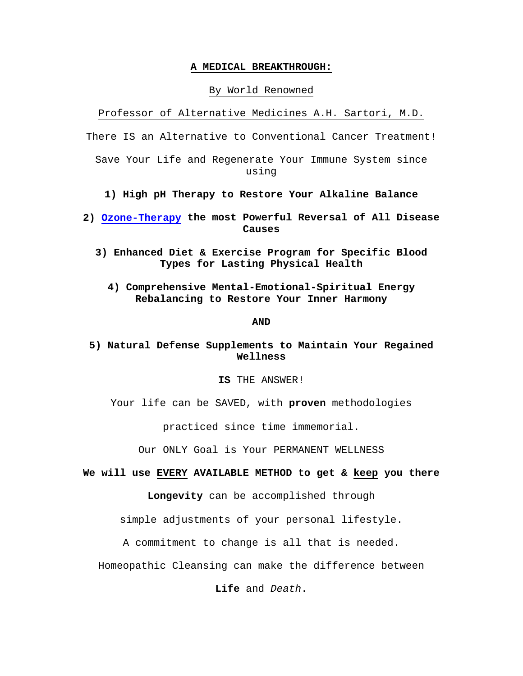#### **A MEDICAL BREAKTHROUGH:**

#### By World Renowned

Professor of Alternative Medicines A.H. Sartori, M.D.

There IS an Alternative to Conventional Cancer Treatment!

Save Your Life and Regenerate Your Immune System since using

**1) High pH Therapy to Restore Your Alkaline Balance**

**2) [Ozone-Therapy](http://www.austinozone.com/) the most Powerful Reversal of All Disease Causes**

- **3) Enhanced Diet & Exercise Program for Specific Blood Types for Lasting Physical Health**
	- **4) Comprehensive Mental-Emotional-Spiritual Energy Rebalancing to Restore Your Inner Harmony**

#### **AND**

## **5) Natural Defense Supplements to Maintain Your Regained Wellness**

### **IS** THE ANSWER!

Your life can be SAVED, with **proven** methodologies

practiced since time immemorial.

Our ONLY Goal is Your PERMANENT WELLNESS

**We will use EVERY AVAILABLE METHOD to get & keep you there**

**Longevity** can be accomplished through

simple adjustments of your personal lifestyle.

A commitment to change is all that is needed.

Homeopathic Cleansing can make the difference between

**Life** and *Death*.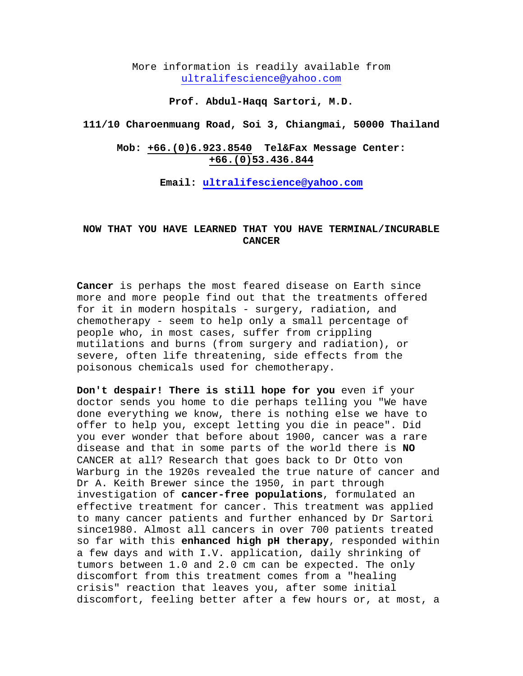More information is readily available from [ultralifescience@yahoo.com](mailto:ultralifescience@yahoo.com)

### **Prof. Abdul-Haqq Sartori, M.D.**

**111/10 Charoenmuang Road, Soi 3, Chiangmai, 50000 Thailand**

### **Mob: +66.(0)6.923.8540 Tel&Fax Message Center: +66.(0)53.436.844**

**Email: [ultralifescience@yahoo.com](mailto:ultralifescience@yahoo.com)**

### **NOW THAT YOU HAVE LEARNED THAT YOU HAVE TERMINAL/INCURABLE CANCER**

**Cancer** is perhaps the most feared disease on Earth since more and more people find out that the treatments offered for it in modern hospitals - surgery, radiation, and chemotherapy - seem to help only a small percentage of people who, in most cases, suffer from crippling mutilations and burns (from surgery and radiation), or severe, often life threatening, side effects from the poisonous chemicals used for chemotherapy.

**Don't despair! There is still hope for you** even if your doctor sends you home to die perhaps telling you "We have done everything we know, there is nothing else we have to offer to help you, except letting you die in peace". Did you ever wonder that before about 1900, cancer was a rare disease and that in some parts of the world there is **NO** CANCER at all? Research that goes back to Dr Otto von Warburg in the 1920s revealed the true nature of cancer and Dr A. Keith Brewer since the 1950, in part through investigation of **cancer-free populations**, formulated an effective treatment for cancer. This treatment was applied to many cancer patients and further enhanced by Dr Sartori since1980. Almost all cancers in over 700 patients treated so far with this **enhanced high pH therapy**, responded within a few days and with I.V. application, daily shrinking of tumors between 1.0 and 2.0 cm can be expected. The only discomfort from this treatment comes from a "healing crisis" reaction that leaves you, after some initial discomfort, feeling better after a few hours or, at most, a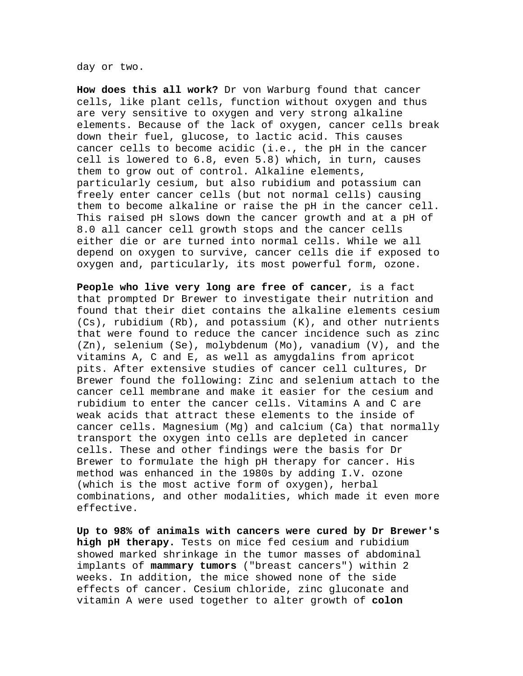day or two.

**How does this all work?** Dr von Warburg found that cancer cells, like plant cells, function without oxygen and thus are very sensitive to oxygen and very strong alkaline elements. Because of the lack of oxygen, cancer cells break down their fuel, glucose, to lactic acid. This causes cancer cells to become acidic (i.e., the pH in the cancer cell is lowered to 6.8, even 5.8) which, in turn, causes them to grow out of control. Alkaline elements, particularly cesium, but also rubidium and potassium can freely enter cancer cells (but not normal cells) causing them to become alkaline or raise the pH in the cancer cell. This raised pH slows down the cancer growth and at a pH of 8.0 all cancer cell growth stops and the cancer cells either die or are turned into normal cells. While we all depend on oxygen to survive, cancer cells die if exposed to oxygen and, particularly, its most powerful form, ozone.

**People who live very long are free of cancer**, is a fact that prompted Dr Brewer to investigate their nutrition and found that their diet contains the alkaline elements cesium (Cs), rubidium (Rb), and potassium (K), and other nutrients that were found to reduce the cancer incidence such as zinc (Zn), selenium (Se), molybdenum (Mo), vanadium (V), and the vitamins A, C and E, as well as amygdalins from apricot pits. After extensive studies of cancer cell cultures, Dr Brewer found the following: Zinc and selenium attach to the cancer cell membrane and make it easier for the cesium and rubidium to enter the cancer cells. Vitamins A and C are weak acids that attract these elements to the inside of cancer cells. Magnesium (Mg) and calcium (Ca) that normally transport the oxygen into cells are depleted in cancer cells. These and other findings were the basis for Dr Brewer to formulate the high pH therapy for cancer. His method was enhanced in the 1980s by adding I.V. ozone (which is the most active form of oxygen), herbal combinations, and other modalities, which made it even more effective.

**Up to 98% of animals with cancers were cured by Dr Brewer's high pH therapy.** Tests on mice fed cesium and rubidium showed marked shrinkage in the tumor masses of abdominal implants of **mammary tumors** ("breast cancers") within 2 weeks. In addition, the mice showed none of the side effects of cancer. Cesium chloride, zinc gluconate and vitamin A were used together to alter growth of **colon**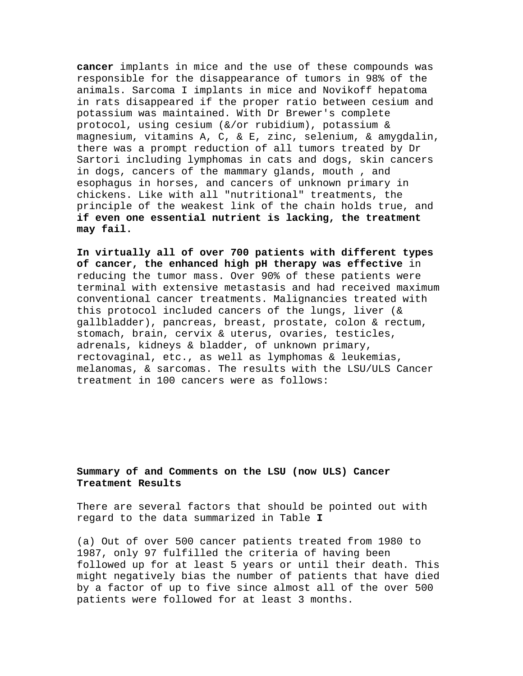**cancer** implants in mice and the use of these compounds was responsible for the disappearance of tumors in 98% of the animals. Sarcoma I implants in mice and Novikoff hepatoma in rats disappeared if the proper ratio between cesium and potassium was maintained. With Dr Brewer's complete protocol, using cesium (&/or rubidium), potassium & magnesium, vitamins A, C, & E, zinc, selenium, & amygdalin, there was a prompt reduction of all tumors treated by Dr Sartori including lymphomas in cats and dogs, skin cancers in dogs, cancers of the mammary glands, mouth , and esophagus in horses, and cancers of unknown primary in chickens. Like with all "nutritional" treatments, the principle of the weakest link of the chain holds true, and **if even one essential nutrient is lacking, the treatment may fail.**

**In virtually all of over 700 patients with different types of cancer, the enhanced high pH therapy was effective** in reducing the tumor mass. Over 90% of these patients were terminal with extensive metastasis and had received maximum conventional cancer treatments. Malignancies treated with this protocol included cancers of the lungs, liver (& gallbladder), pancreas, breast, prostate, colon & rectum, stomach, brain, cervix & uterus, ovaries, testicles, adrenals, kidneys & bladder, of unknown primary, rectovaginal, etc., as well as lymphomas & leukemias, melanomas, & sarcomas. The results with the LSU/ULS Cancer treatment in 100 cancers were as follows:

### **Summary of and Comments on the LSU (now ULS) Cancer Treatment Results**

There are several factors that should be pointed out with regard to the data summarized in Table **I**

(a) Out of over 500 cancer patients treated from 1980 to 1987, only 97 fulfilled the criteria of having been followed up for at least 5 years or until their death. This might negatively bias the number of patients that have died by a factor of up to five since almost all of the over 500 patients were followed for at least 3 months.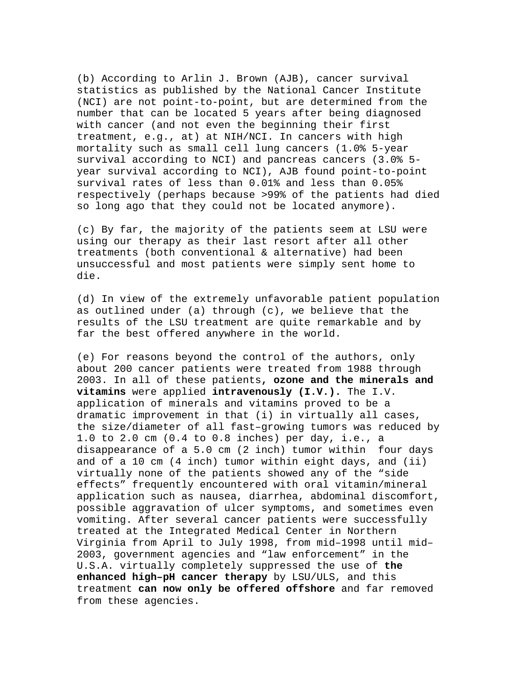(b) According to Arlin J. Brown (AJB), cancer survival statistics as published by the National Cancer Institute (NCI) are not point-to-point, but are determined from the number that can be located 5 years after being diagnosed with cancer (and not even the beginning their first treatment, e.g., at) at NIH/NCI. In cancers with high mortality such as small cell lung cancers (1.0% 5-year survival according to NCI) and pancreas cancers (3.0% 5 year survival according to NCI), AJB found point-to-point survival rates of less than 0.01% and less than 0.05% respectively (perhaps because >99% of the patients had died so long ago that they could not be located anymore).

(c) By far, the majority of the patients seem at LSU were using our therapy as their last resort after all other treatments (both conventional & alternative) had been unsuccessful and most patients were simply sent home to die.

(d) In view of the extremely unfavorable patient population as outlined under (a) through (c), we believe that the results of the LSU treatment are quite remarkable and by far the best offered anywhere in the world.

(e) For reasons beyond the control of the authors, only about 200 cancer patients were treated from 1988 through 2003. In all of these patients**, ozone and the minerals and vitamins** were applied **intravenously (I.V.).** The I.V. application of minerals and vitamins proved to be a dramatic improvement in that (i) in virtually all cases, the size/diameter of all fast–growing tumors was reduced by 1.0 to 2.0 cm (0.4 to 0.8 inches) per day, i.e., a disappearance of a 5.0 cm (2 inch) tumor within four days and of a 10 cm (4 inch) tumor within eight days, and (ii) virtually none of the patients showed any of the "side effects" frequently encountered with oral vitamin/mineral application such as nausea, diarrhea, abdominal discomfort, possible aggravation of ulcer symptoms, and sometimes even vomiting. After several cancer patients were successfully treated at the Integrated Medical Center in Northern Virginia from April to July 1998, from mid–1998 until mid– 2003, government agencies and "law enforcement" in the U.S.A. virtually completely suppressed the use of **the enhanced high–pH cancer therapy** by LSU/ULS, and this treatment **can now only be offered offshore** and far removed from these agencies.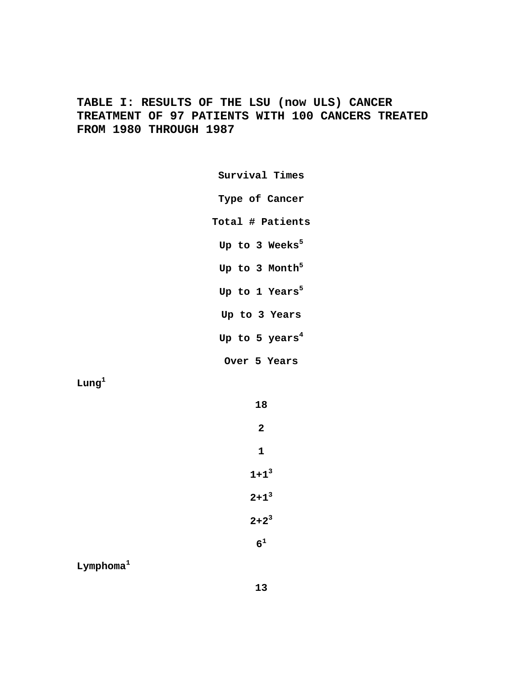**TABLE I: RESULTS OF THE LSU (now ULS) CANCER TREATMENT OF 97 PATIENTS WITH 100 CANCERS TREATED FROM 1980 THROUGH 1987**

> **Survival Times Type of Cancer Total # Patients** Up to 3 Weeks<sup>5</sup> Up to 3 Month<sup>5</sup> Up to 1 Years<sup>5</sup> **Up to 3 Years Up to 5 years4 Over 5 Years**

**Lung<sup>1</sup>**

| 18             |
|----------------|
| $\overline{2}$ |
| 1              |
| $1+1^3$        |
| $2+1^3$        |
| $2+2^3$        |
| 6 <sup>1</sup> |

**Lymphoma<sup>1</sup>**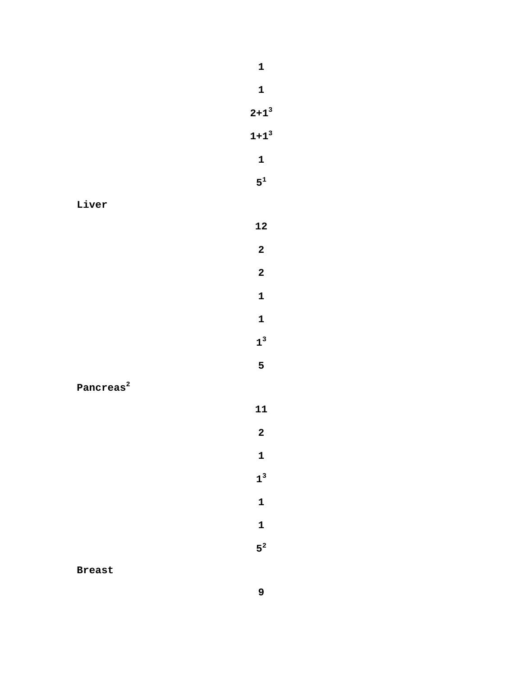**Liver**

**Pancreas<sup>2</sup>**

**Breast**

**2+13 1+13**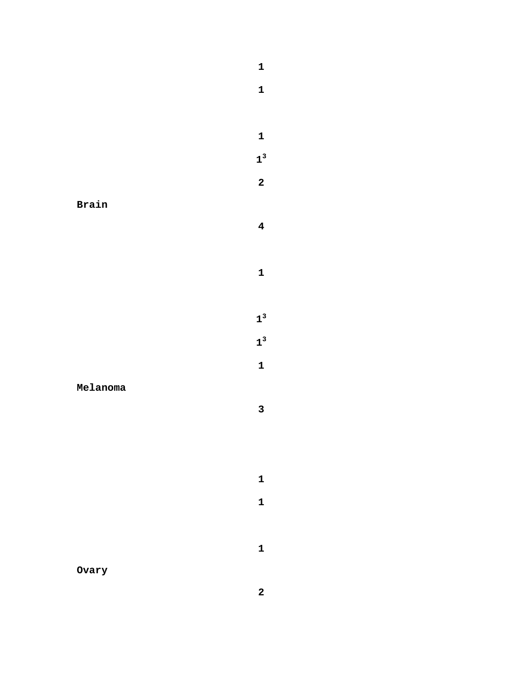**Brain**

**Melanoma**

**Ovary**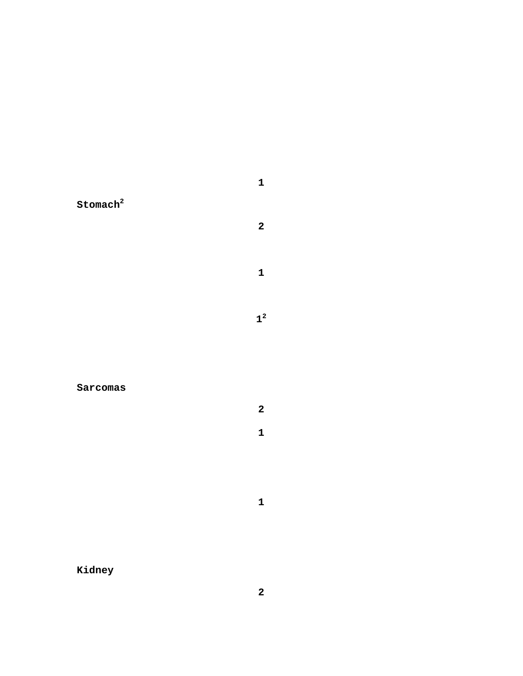**Stomach<sup>2</sup>**

# **Sarcomas**

**Kidney**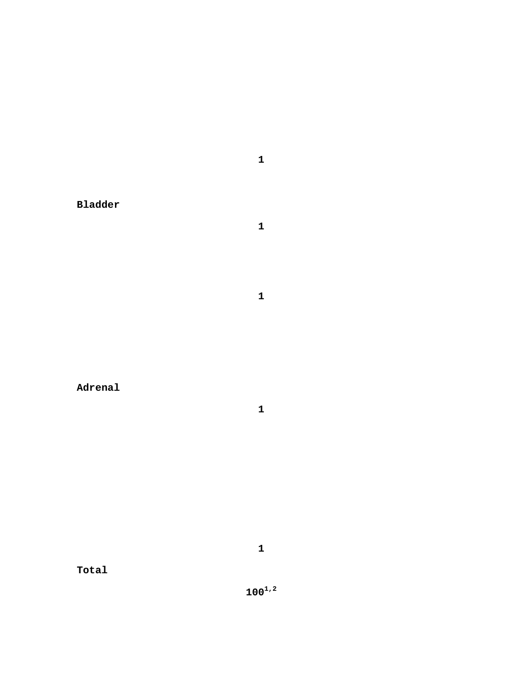**Bladder**

**Adrenal**

**Total**

**1**

**1**

**1**

**1**

**1001,2**